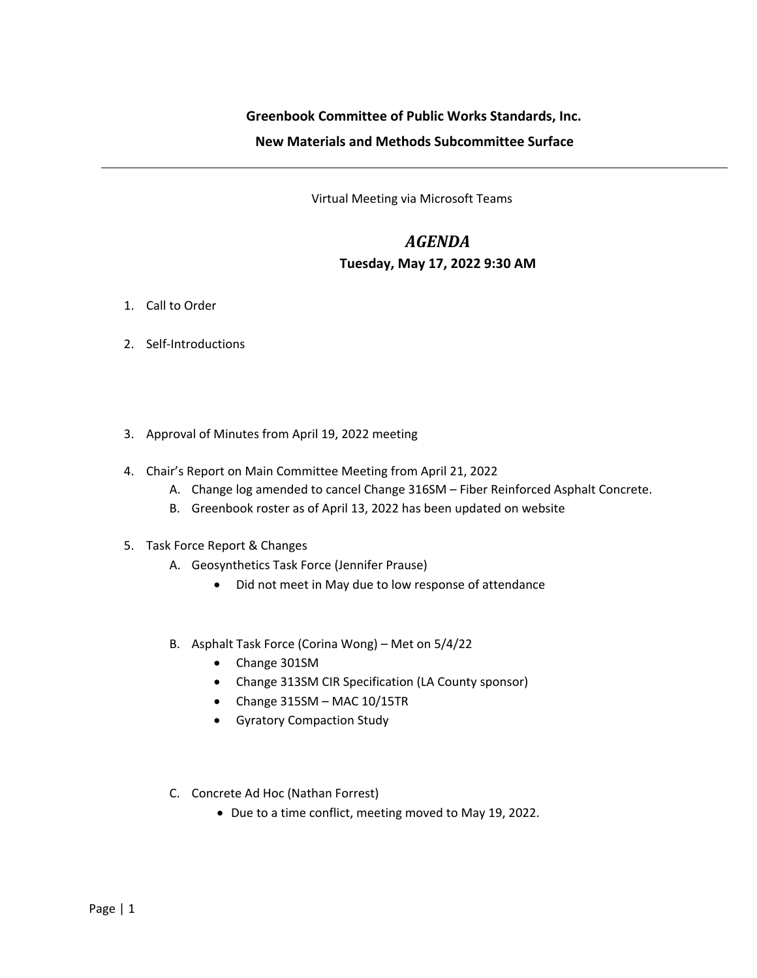## **Greenbook Committee of Public Works Standards, Inc. New Materials and Methods Subcommittee Surface**

Virtual Meeting via Microsoft Teams

## *AGENDA* **Tuesday, May 17, 2022 9:30 AM**

- 1. Call to Order
- 2. Self-Introductions
- 3. Approval of Minutes from April 19, 2022 meeting
- 4. Chair's Report on Main Committee Meeting from April 21, 2022
	- A. Change log amended to cancel Change 316SM Fiber Reinforced Asphalt Concrete.
	- B. Greenbook roster as of April 13, 2022 has been updated on website
- 5. Task Force Report & Changes
	- A. Geosynthetics Task Force (Jennifer Prause)
		- Did not meet in May due to low response of attendance
	- B. Asphalt Task Force (Corina Wong) Met on 5/4/22
		- Change 301SM
		- Change 313SM CIR Specification (LA County sponsor)
		- Change 315SM MAC 10/15TR
		- Gyratory Compaction Study
	- C. Concrete Ad Hoc (Nathan Forrest)
		- Due to a time conflict, meeting moved to May 19, 2022.